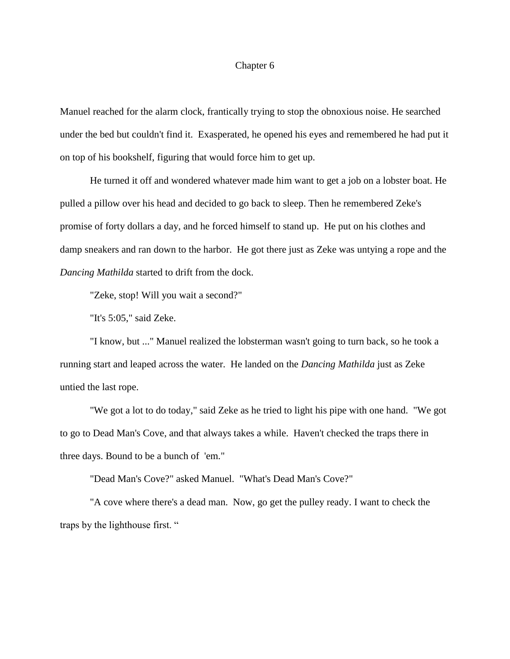## Chapter 6

Manuel reached for the alarm clock, frantically trying to stop the obnoxious noise. He searched under the bed but couldn't find it. Exasperated, he opened his eyes and remembered he had put it on top of his bookshelf, figuring that would force him to get up.

He turned it off and wondered whatever made him want to get a job on a lobster boat. He pulled a pillow over his head and decided to go back to sleep. Then he remembered Zeke's promise of forty dollars a day, and he forced himself to stand up. He put on his clothes and damp sneakers and ran down to the harbor. He got there just as Zeke was untying a rope and the *Dancing Mathilda* started to drift from the dock.

"Zeke, stop! Will you wait a second?"

"It's 5:05," said Zeke.

"I know, but ..." Manuel realized the lobsterman wasn't going to turn back, so he took a running start and leaped across the water. He landed on the *Dancing Mathilda* just as Zeke untied the last rope.

"We got a lot to do today," said Zeke as he tried to light his pipe with one hand. "We got to go to Dead Man's Cove, and that always takes a while. Haven't checked the traps there in three days. Bound to be a bunch of 'em."

"Dead Man's Cove?" asked Manuel. "What's Dead Man's Cove?"

"A cove where there's a dead man. Now, go get the pulley ready. I want to check the traps by the lighthouse first. "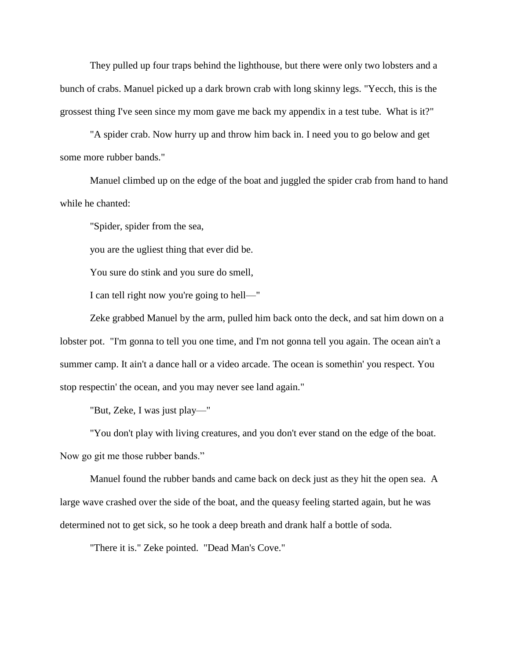They pulled up four traps behind the lighthouse, but there were only two lobsters and a bunch of crabs. Manuel picked up a dark brown crab with long skinny legs. "Yecch, this is the grossest thing I've seen since my mom gave me back my appendix in a test tube. What is it?"

"A spider crab. Now hurry up and throw him back in. I need you to go below and get some more rubber bands."

Manuel climbed up on the edge of the boat and juggled the spider crab from hand to hand while he chanted:

"Spider, spider from the sea,

you are the ugliest thing that ever did be.

You sure do stink and you sure do smell,

I can tell right now you're going to hell—"

Zeke grabbed Manuel by the arm, pulled him back onto the deck, and sat him down on a lobster pot. "I'm gonna to tell you one time, and I'm not gonna tell you again. The ocean ain't a summer camp. It ain't a dance hall or a video arcade. The ocean is somethin' you respect. You stop respectin' the ocean, and you may never see land again."

"But, Zeke, I was just play—"

"You don't play with living creatures, and you don't ever stand on the edge of the boat. Now go git me those rubber bands."

Manuel found the rubber bands and came back on deck just as they hit the open sea. A large wave crashed over the side of the boat, and the queasy feeling started again, but he was determined not to get sick, so he took a deep breath and drank half a bottle of soda.

"There it is." Zeke pointed. "Dead Man's Cove."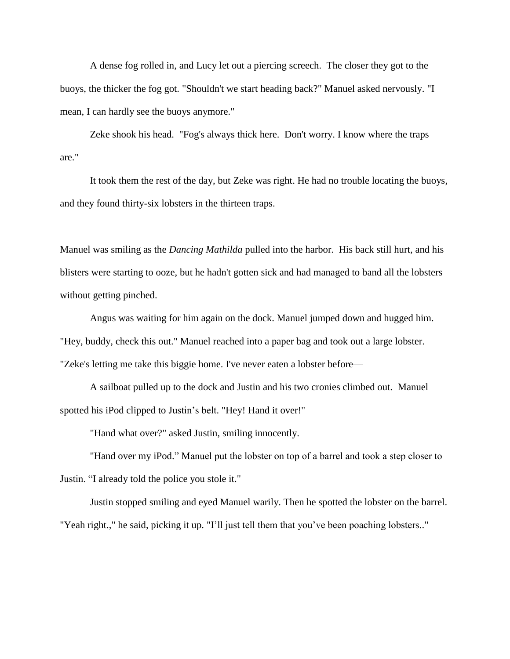A dense fog rolled in, and Lucy let out a piercing screech. The closer they got to the buoys, the thicker the fog got. "Shouldn't we start heading back?" Manuel asked nervously. "I mean, I can hardly see the buoys anymore."

Zeke shook his head. "Fog's always thick here. Don't worry. I know where the traps are."

It took them the rest of the day, but Zeke was right. He had no trouble locating the buoys, and they found thirty-six lobsters in the thirteen traps.

Manuel was smiling as the *Dancing Mathilda* pulled into the harbor. His back still hurt, and his blisters were starting to ooze, but he hadn't gotten sick and had managed to band all the lobsters without getting pinched.

Angus was waiting for him again on the dock. Manuel jumped down and hugged him. "Hey, buddy, check this out." Manuel reached into a paper bag and took out a large lobster. "Zeke's letting me take this biggie home. I've never eaten a lobster before—

A sailboat pulled up to the dock and Justin and his two cronies climbed out. Manuel spotted his iPod clipped to Justin's belt. "Hey! Hand it over!"

"Hand what over?" asked Justin, smiling innocently.

"Hand over my iPod." Manuel put the lobster on top of a barrel and took a step closer to Justin. "I already told the police you stole it."

Justin stopped smiling and eyed Manuel warily. Then he spotted the lobster on the barrel. "Yeah right.," he said, picking it up. "I'll just tell them that you've been poaching lobsters.."